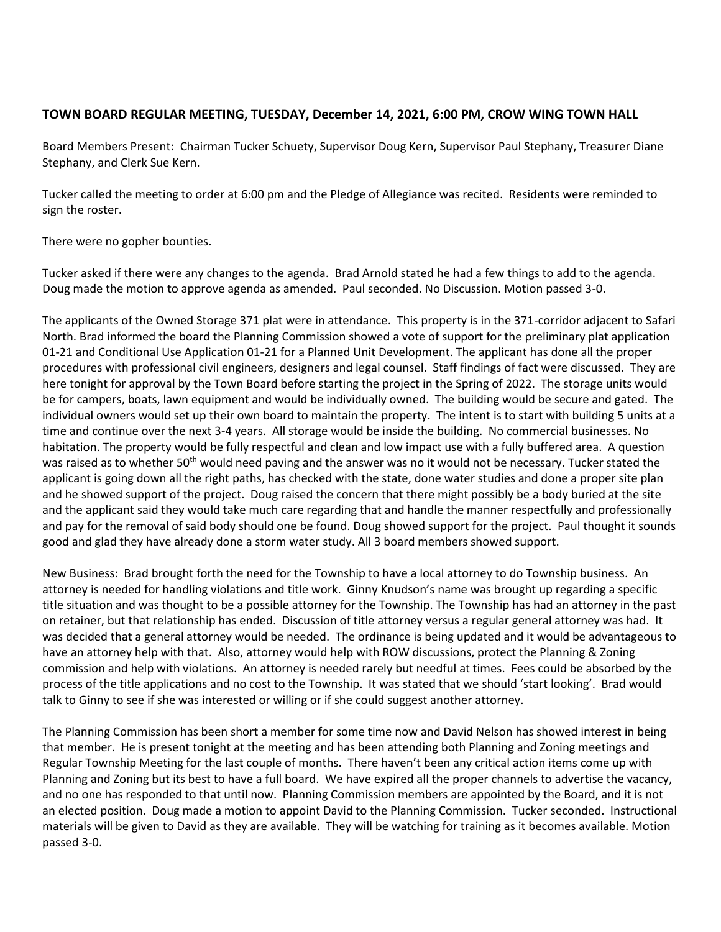## **TOWN BOARD REGULAR MEETING, TUESDAY, December 14, 2021, 6:00 PM, CROW WING TOWN HALL**

Board Members Present: Chairman Tucker Schuety, Supervisor Doug Kern, Supervisor Paul Stephany, Treasurer Diane Stephany, and Clerk Sue Kern.

Tucker called the meeting to order at 6:00 pm and the Pledge of Allegiance was recited. Residents were reminded to sign the roster.

There were no gopher bounties.

Tucker asked if there were any changes to the agenda. Brad Arnold stated he had a few things to add to the agenda. Doug made the motion to approve agenda as amended. Paul seconded. No Discussion. Motion passed 3-0.

The applicants of the Owned Storage 371 plat were in attendance. This property is in the 371-corridor adjacent to Safari North. Brad informed the board the Planning Commission showed a vote of support for the preliminary plat application 01-21 and Conditional Use Application 01-21 for a Planned Unit Development. The applicant has done all the proper procedures with professional civil engineers, designers and legal counsel. Staff findings of fact were discussed. They are here tonight for approval by the Town Board before starting the project in the Spring of 2022. The storage units would be for campers, boats, lawn equipment and would be individually owned. The building would be secure and gated. The individual owners would set up their own board to maintain the property. The intent is to start with building 5 units at a time and continue over the next 3-4 years. All storage would be inside the building. No commercial businesses. No habitation. The property would be fully respectful and clean and low impact use with a fully buffered area. A question was raised as to whether 50<sup>th</sup> would need paving and the answer was no it would not be necessary. Tucker stated the applicant is going down all the right paths, has checked with the state, done water studies and done a proper site plan and he showed support of the project. Doug raised the concern that there might possibly be a body buried at the site and the applicant said they would take much care regarding that and handle the manner respectfully and professionally and pay for the removal of said body should one be found. Doug showed support for the project. Paul thought it sounds good and glad they have already done a storm water study. All 3 board members showed support.

New Business: Brad brought forth the need for the Township to have a local attorney to do Township business. An attorney is needed for handling violations and title work. Ginny Knudson's name was brought up regarding a specific title situation and was thought to be a possible attorney for the Township. The Township has had an attorney in the past on retainer, but that relationship has ended. Discussion of title attorney versus a regular general attorney was had. It was decided that a general attorney would be needed. The ordinance is being updated and it would be advantageous to have an attorney help with that. Also, attorney would help with ROW discussions, protect the Planning & Zoning commission and help with violations. An attorney is needed rarely but needful at times. Fees could be absorbed by the process of the title applications and no cost to the Township. It was stated that we should 'start looking'. Brad would talk to Ginny to see if she was interested or willing or if she could suggest another attorney.

The Planning Commission has been short a member for some time now and David Nelson has showed interest in being that member. He is present tonight at the meeting and has been attending both Planning and Zoning meetings and Regular Township Meeting for the last couple of months. There haven't been any critical action items come up with Planning and Zoning but its best to have a full board. We have expired all the proper channels to advertise the vacancy, and no one has responded to that until now. Planning Commission members are appointed by the Board, and it is not an elected position. Doug made a motion to appoint David to the Planning Commission. Tucker seconded. Instructional materials will be given to David as they are available. They will be watching for training as it becomes available. Motion passed 3-0.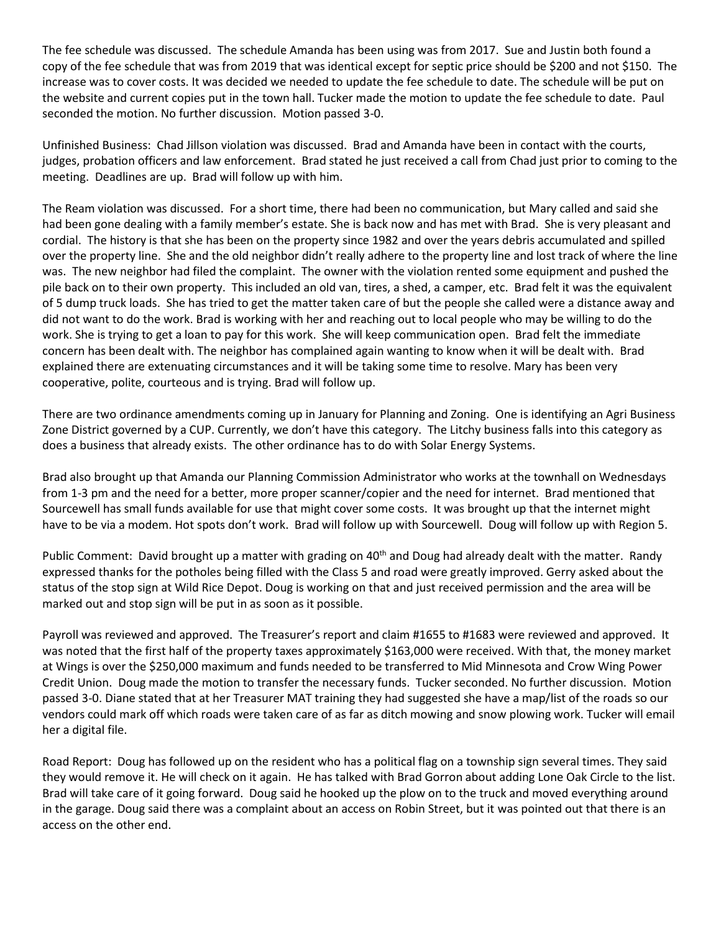The fee schedule was discussed. The schedule Amanda has been using was from 2017. Sue and Justin both found a copy of the fee schedule that was from 2019 that was identical except for septic price should be \$200 and not \$150. The increase was to cover costs. It was decided we needed to update the fee schedule to date. The schedule will be put on the website and current copies put in the town hall. Tucker made the motion to update the fee schedule to date. Paul seconded the motion. No further discussion. Motion passed 3-0.

Unfinished Business: Chad Jillson violation was discussed. Brad and Amanda have been in contact with the courts, judges, probation officers and law enforcement. Brad stated he just received a call from Chad just prior to coming to the meeting. Deadlines are up. Brad will follow up with him.

The Ream violation was discussed. For a short time, there had been no communication, but Mary called and said she had been gone dealing with a family member's estate. She is back now and has met with Brad. She is very pleasant and cordial. The history is that she has been on the property since 1982 and over the years debris accumulated and spilled over the property line. She and the old neighbor didn't really adhere to the property line and lost track of where the line was. The new neighbor had filed the complaint. The owner with the violation rented some equipment and pushed the pile back on to their own property. This included an old van, tires, a shed, a camper, etc. Brad felt it was the equivalent of 5 dump truck loads. She has tried to get the matter taken care of but the people she called were a distance away and did not want to do the work. Brad is working with her and reaching out to local people who may be willing to do the work. She is trying to get a loan to pay for this work. She will keep communication open. Brad felt the immediate concern has been dealt with. The neighbor has complained again wanting to know when it will be dealt with. Brad explained there are extenuating circumstances and it will be taking some time to resolve. Mary has been very cooperative, polite, courteous and is trying. Brad will follow up.

There are two ordinance amendments coming up in January for Planning and Zoning. One is identifying an Agri Business Zone District governed by a CUP. Currently, we don't have this category. The Litchy business falls into this category as does a business that already exists. The other ordinance has to do with Solar Energy Systems.

Brad also brought up that Amanda our Planning Commission Administrator who works at the townhall on Wednesdays from 1-3 pm and the need for a better, more proper scanner/copier and the need for internet. Brad mentioned that Sourcewell has small funds available for use that might cover some costs. It was brought up that the internet might have to be via a modem. Hot spots don't work. Brad will follow up with Sourcewell. Doug will follow up with Region 5.

Public Comment: David brought up a matter with grading on 40<sup>th</sup> and Doug had already dealt with the matter. Randy expressed thanks for the potholes being filled with the Class 5 and road were greatly improved. Gerry asked about the status of the stop sign at Wild Rice Depot. Doug is working on that and just received permission and the area will be marked out and stop sign will be put in as soon as it possible.

Payroll was reviewed and approved. The Treasurer's report and claim #1655 to #1683 were reviewed and approved. It was noted that the first half of the property taxes approximately \$163,000 were received. With that, the money market at Wings is over the \$250,000 maximum and funds needed to be transferred to Mid Minnesota and Crow Wing Power Credit Union. Doug made the motion to transfer the necessary funds. Tucker seconded. No further discussion. Motion passed 3-0. Diane stated that at her Treasurer MAT training they had suggested she have a map/list of the roads so our vendors could mark off which roads were taken care of as far as ditch mowing and snow plowing work. Tucker will email her a digital file.

Road Report: Doug has followed up on the resident who has a political flag on a township sign several times. They said they would remove it. He will check on it again. He has talked with Brad Gorron about adding Lone Oak Circle to the list. Brad will take care of it going forward. Doug said he hooked up the plow on to the truck and moved everything around in the garage. Doug said there was a complaint about an access on Robin Street, but it was pointed out that there is an access on the other end.